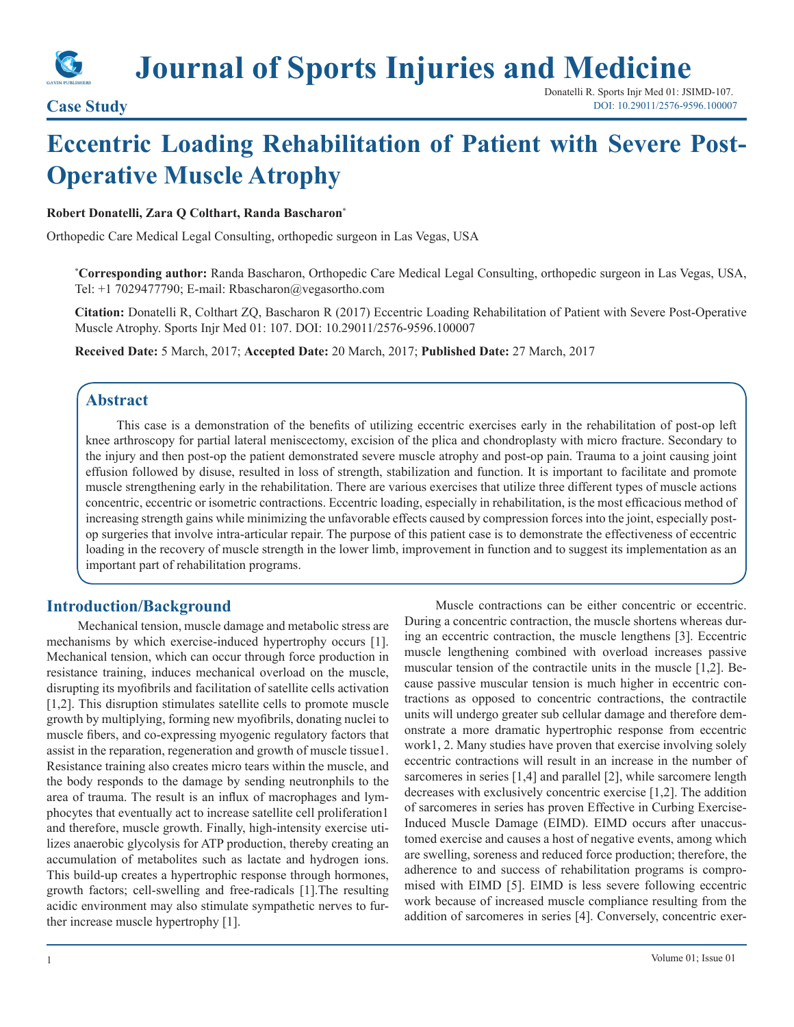

**Journal of Sports Injuries and Medicine**

# **Eccentric Loading Rehabilitation of Patient with Severe Post-Operative Muscle Atrophy**

#### **Robert Donatelli, Zara Q Colthart, Randa Bascharon\***

Orthopedic Care Medical Legal Consulting, orthopedic surgeon in Las Vegas, USA

**\* Corresponding author:** Randa Bascharon, Orthopedic Care Medical Legal Consulting, orthopedic surgeon in Las Vegas, USA, Tel: +1 7029477790; E-mail: Rbascharon@vegasortho.com

**Citation:** Donatelli R, Colthart ZQ, Bascharon R (2017) Eccentric Loading Rehabilitation of Patient with Severe Post-Operative Muscle Atrophy. Sports Injr Med 01: 107. DOI: 10.29011/2576-9596.100007

**Received Date:** 5 March, 2017; **Accepted Date:** 20 March, 2017; **Published Date:** 27 March, 2017

## **Abstract**

This case is a demonstration of the benefits of utilizing eccentric exercises early in the rehabilitation of post-op left knee arthroscopy for partial lateral meniscectomy, excision of the plica and chondroplasty with micro fracture. Secondary to the injury and then post-op the patient demonstrated severe muscle atrophy and post-op pain. Trauma to a joint causing joint effusion followed by disuse, resulted in loss of strength, stabilization and function. It is important to facilitate and promote muscle strengthening early in the rehabilitation. There are various exercises that utilize three different types of muscle actions concentric, eccentric or isometric contractions. Eccentric loading, especially in rehabilitation, is the most efficacious method of increasing strength gains while minimizing the unfavorable effects caused by compression forces into the joint, especially postop surgeries that involve intra-articular repair. The purpose of this patient case is to demonstrate the effectiveness of eccentric loading in the recovery of muscle strength in the lower limb, improvement in function and to suggest its implementation as an important part of rehabilitation programs.

## **Introduction/Background**

Mechanical tension, muscle damage and metabolic stress are mechanisms by which exercise-induced hypertrophy occurs [1]. Mechanical tension, which can occur through force production in resistance training, induces mechanical overload on the muscle, disrupting its myofibrils and facilitation of satellite cells activation [1,2]. This disruption stimulates satellite cells to promote muscle growth by multiplying, forming new myofibrils, donating nuclei to muscle fibers, and co-expressing myogenic regulatory factors that assist in the reparation, regeneration and growth of muscle tissue1. Resistance training also creates micro tears within the muscle, and the body responds to the damage by sending neutronphils to the area of trauma. The result is an influx of macrophages and lymphocytes that eventually act to increase satellite cell proliferation1 and therefore, muscle growth. Finally, high-intensity exercise utilizes anaerobic glycolysis for ATP production, thereby creating an accumulation of metabolites such as lactate and hydrogen ions. This build-up creates a hypertrophic response through hormones, growth factors; cell-swelling and free-radicals [1].The resulting acidic environment may also stimulate sympathetic nerves to further increase muscle hypertrophy [1].

Muscle contractions can be either concentric or eccentric. During a concentric contraction, the muscle shortens whereas during an eccentric contraction, the muscle lengthens [3]. Eccentric muscle lengthening combined with overload increases passive muscular tension of the contractile units in the muscle [1,2]. Because passive muscular tension is much higher in eccentric contractions as opposed to concentric contractions, the contractile units will undergo greater sub cellular damage and therefore demonstrate a more dramatic hypertrophic response from eccentric work1, 2. Many studies have proven that exercise involving solely eccentric contractions will result in an increase in the number of sarcomeres in series [1,4] and parallel [2], while sarcomere length decreases with exclusively concentric exercise [1,2]. The addition of sarcomeres in series has proven Effective in Curbing Exercise-Induced Muscle Damage (EIMD). EIMD occurs after unaccustomed exercise and causes a host of negative events, among which are swelling, soreness and reduced force production; therefore, the adherence to and success of rehabilitation programs is compromised with EIMD [5]. EIMD is less severe following eccentric work because of increased muscle compliance resulting from the addition of sarcomeres in series [4]. Conversely, concentric exer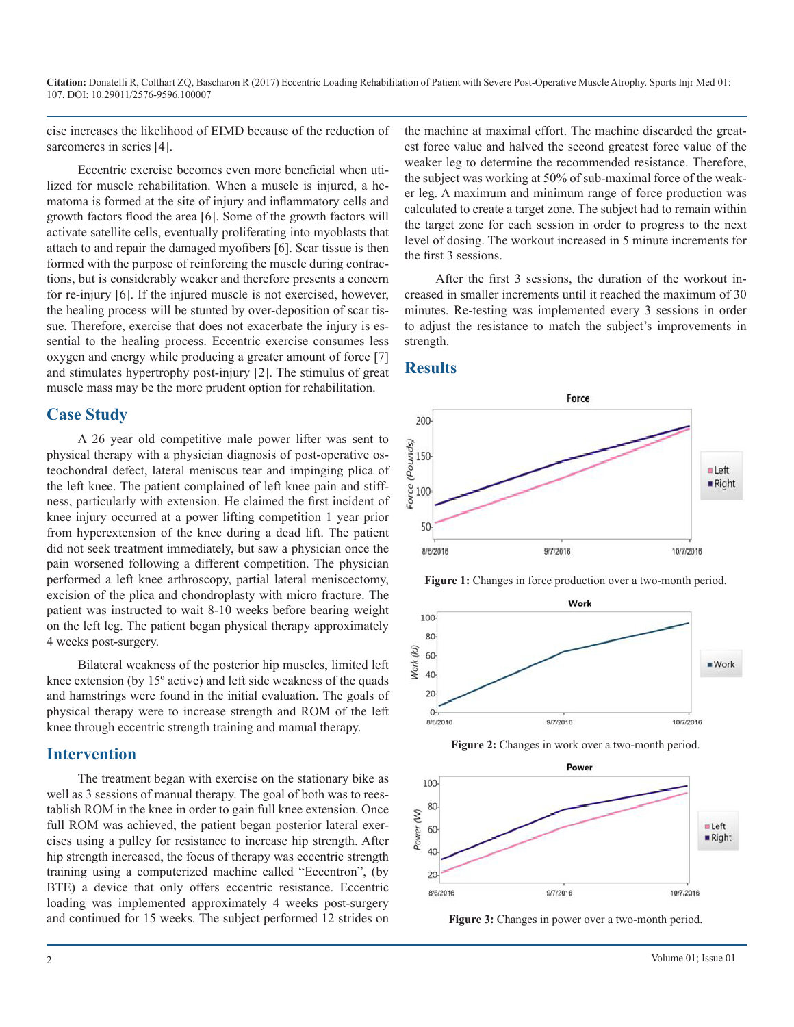**Citation:** Donatelli R, Colthart ZQ, Bascharon R (2017) Eccentric Loading Rehabilitation of Patient with Severe Post-Operative Muscle Atrophy. Sports Injr Med 01: 107. DOI: 10.29011/2576-9596.100007

cise increases the likelihood of EIMD because of the reduction of sarcomeres in series [4].

Eccentric exercise becomes even more beneficial when utilized for muscle rehabilitation. When a muscle is injured, a hematoma is formed at the site of injury and inflammatory cells and growth factors flood the area [6]. Some of the growth factors will activate satellite cells, eventually proliferating into myoblasts that attach to and repair the damaged myofibers [6]. Scar tissue is then formed with the purpose of reinforcing the muscle during contractions, but is considerably weaker and therefore presents a concern for re-injury [6]. If the injured muscle is not exercised, however, the healing process will be stunted by over-deposition of scar tissue. Therefore, exercise that does not exacerbate the injury is essential to the healing process. Eccentric exercise consumes less oxygen and energy while producing a greater amount of force [7] and stimulates hypertrophy post-injury [2]. The stimulus of great muscle mass may be the more prudent option for rehabilitation.

#### **Case Study**

A 26 year old competitive male power lifter was sent to physical therapy with a physician diagnosis of post-operative osteochondral defect, lateral meniscus tear and impinging plica of the left knee. The patient complained of left knee pain and stiffness, particularly with extension. He claimed the first incident of knee injury occurred at a power lifting competition 1 year prior from hyperextension of the knee during a dead lift. The patient did not seek treatment immediately, but saw a physician once the pain worsened following a different competition. The physician performed a left knee arthroscopy, partial lateral meniscectomy, excision of the plica and chondroplasty with micro fracture. The patient was instructed to wait 8-10 weeks before bearing weight on the left leg. The patient began physical therapy approximately 4 weeks post-surgery.

Bilateral weakness of the posterior hip muscles, limited left knee extension (by 15º active) and left side weakness of the quads and hamstrings were found in the initial evaluation. The goals of physical therapy were to increase strength and ROM of the left knee through eccentric strength training and manual therapy.

## **Intervention**

The treatment began with exercise on the stationary bike as well as 3 sessions of manual therapy. The goal of both was to reestablish ROM in the knee in order to gain full knee extension. Once full ROM was achieved, the patient began posterior lateral exercises using a pulley for resistance to increase hip strength. After hip strength increased, the focus of therapy was eccentric strength training using a computerized machine called "Eccentron", (by BTE) a device that only offers eccentric resistance. Eccentric loading was implemented approximately 4 weeks post-surgery and continued for 15 weeks. The subject performed 12 strides on

the machine at maximal effort. The machine discarded the greatest force value and halved the second greatest force value of the weaker leg to determine the recommended resistance. Therefore, the subject was working at 50% of sub-maximal force of the weaker leg. A maximum and minimum range of force production was calculated to create a target zone. The subject had to remain within the target zone for each session in order to progress to the next level of dosing. The workout increased in 5 minute increments for the first 3 sessions.

After the first 3 sessions, the duration of the workout increased in smaller increments until it reached the maximum of 30 minutes. Re-testing was implemented every 3 sessions in order to adjust the resistance to match the subject's improvements in strength.

## **Results**











**Figure 3:** Changes in power over a two-month period.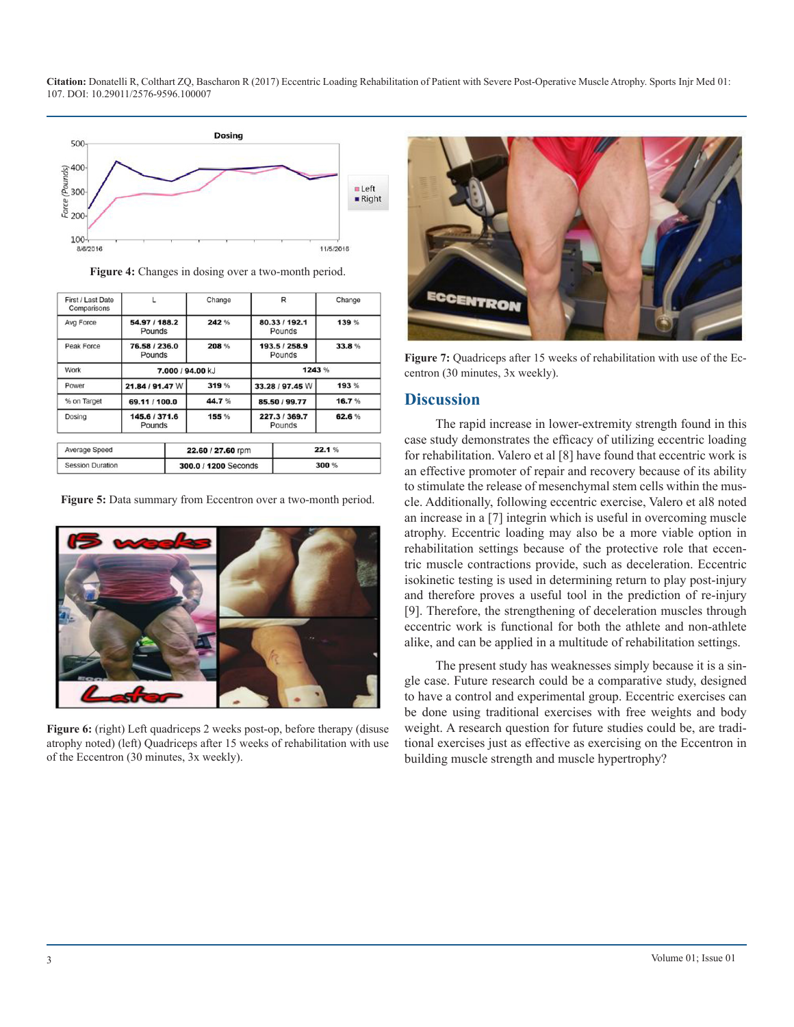**Citation:** Donatelli R, Colthart ZQ, Bascharon R (2017) Eccentric Loading Rehabilitation of Patient with Severe Post-Operative Muscle Atrophy. Sports Injr Med 01: 107. DOI: 10.29011/2576-9596.100007



Figure 4: Changes in dosing over a two-month period.

| First / Last Date<br>Comparisons |                         | Change               | R                       | Change |  |
|----------------------------------|-------------------------|----------------------|-------------------------|--------|--|
| Avg Force                        | 54.97 / 188.2<br>Pounds | 242 %                | 80.33 / 192.1<br>Pounds | 139 %  |  |
| Peak Force                       | 76.58 / 236.0<br>Pounds | 208 %                | 193.5 / 258.9<br>Pounds | 33.8%  |  |
| Work                             | 7.000 / 94.00 kJ        |                      | 1243 %                  |        |  |
| Power                            | 21.84 / 91.47 W         | 319 %                | 33.28 / 97.45 W         | 193 %  |  |
| % on Target                      | 69.11 / 100.0           | 44.7%                | 85.50 / 99.77           | 16.7%  |  |
| Dosing                           | 145.6 / 371.6<br>Pounds | 155 %                | 227.3 / 369.7<br>Pounds | 62.6%  |  |
| Average Speed                    |                         | 22.60 / 27.60 rpm    |                         | 22.1%  |  |
| <b>Session Duration</b>          |                         | 300.0 / 1200 Seconds |                         | 300 %  |  |

**Figure 5:** Data summary from Eccentron over a two-month period.



**Figure 6:** (right) Left quadriceps 2 weeks post-op, before therapy (disuse atrophy noted) (left) Quadriceps after 15 weeks of rehabilitation with use of the Eccentron (30 minutes, 3x weekly).



Figure 7: Quadriceps after 15 weeks of rehabilitation with use of the Eccentron (30 minutes, 3x weekly).

#### **Discussion**

The rapid increase in lower-extremity strength found in this case study demonstrates the efficacy of utilizing eccentric loading for rehabilitation. Valero et al [8] have found that eccentric work is an effective promoter of repair and recovery because of its ability to stimulate the release of mesenchymal stem cells within the muscle. Additionally, following eccentric exercise, Valero et al8 noted an increase in a [7] integrin which is useful in overcoming muscle atrophy. Eccentric loading may also be a more viable option in rehabilitation settings because of the protective role that eccentric muscle contractions provide, such as deceleration. Eccentric isokinetic testing is used in determining return to play post-injury and therefore proves a useful tool in the prediction of re-injury [9]. Therefore, the strengthening of deceleration muscles through eccentric work is functional for both the athlete and non-athlete alike, and can be applied in a multitude of rehabilitation settings.

The present study has weaknesses simply because it is a single case. Future research could be a comparative study, designed to have a control and experimental group. Eccentric exercises can be done using traditional exercises with free weights and body weight. A research question for future studies could be, are traditional exercises just as effective as exercising on the Eccentron in building muscle strength and muscle hypertrophy?